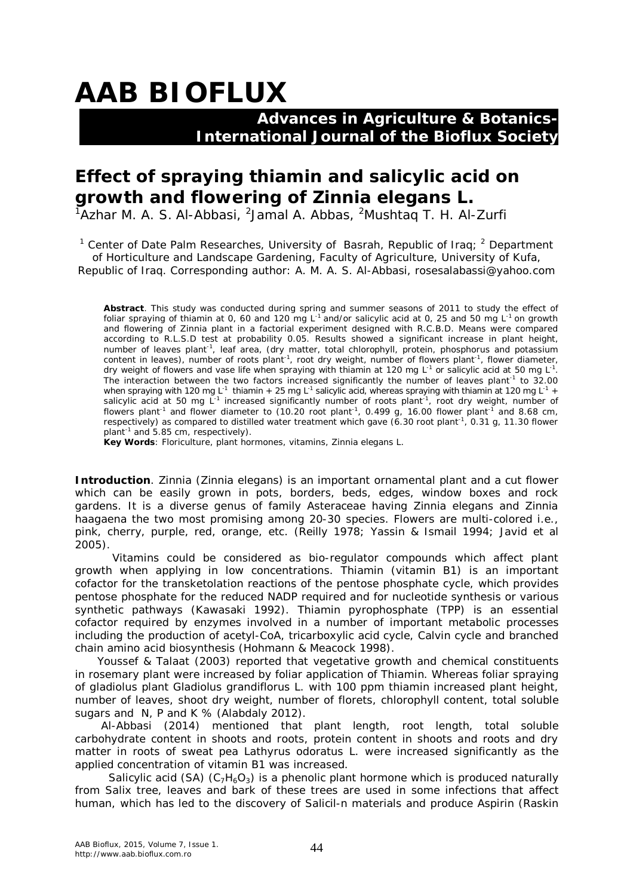# **AAB BIOFLUX**

## **Advances in Agriculture & Botanics- International Journal of the Bioflux Society**

## **Effect of spraying thiamin and salicylic acid on growth and flowering of** *Zinnia elegans* **L.**

 $1$ Azhar M. A. S. Al-Abbasi,  $2$ Jamal A. Abbas,  $2$ Mushtaq T. H. Al-Zurfi

<sup>1</sup> Center of Date Palm Researches, University of Basrah, Republic of Iraq;  $^2$  Department of Horticulture and Landscape Gardening, Faculty of Agriculture, University of Kufa, Republic of Iraq. Corresponding author: A. M. A. S. Al-Abbasi, rosesalabassi@yahoo.com

**Abstract**. This study was conducted during spring and summer seasons of 2011 to study the effect of foliar spraying of thiamin at 0, 60 and 120 mg L-1 and/or salicylic acid at 0, 25 and 50 mg L-1 on growth and flowering of Zinnia plant in a factorial experiment designed with R.C.B.D. Means were compared according to R.L.S.D test at probability 0.05. Results showed a significant increase in plant height, number of leaves plant<sup>-1</sup>, leaf area, (dry matter, total chlorophyll, protein, phosphorus and potassium content in leaves), number of roots plant<sup>-1</sup>, root dry weight, number of flowers plant<sup>-1</sup>, flower diameter, dry weight of flowers and vase life when spraying with thiamin at 120 mg L<sup>-1</sup> or salicylic acid at 50 mg L<sup>-1</sup>. The interaction between the two factors increased significantly the number of leaves plant<sup>-1</sup> to 32.00 when spraying with 120 mg L<sup>-1</sup> thiamin + 25 mg L<sup>-1</sup> salicylic acid, whereas spraying with thiamin at 120 mg L<sup>-1</sup> + salicylic acid at 50 mg L<sup>-1</sup> increased significantly number of roots plant<sup>-1</sup>, root dry weight, number of flowers plant<sup>-1</sup> and flower diameter to (10.20 root plant<sup>-1</sup>, 0.499 g, 16.00 flower plant<sup>-1</sup> and 8.68 cm, respectively) as compared to distilled water treatment which gave (6.30 root plant<sup>-1</sup>, 0.31 g, 11.30 flower plant<sup>-1</sup> and 5.85 cm, respectively).

**Key Words**: Floriculture, plant hormones, vitamins, *Zinnia elegans* L.

**Introduction**. Zinnia *(Zinnia elegans*) is an important ornamental plant and a cut flower which can be easily grown in pots, borders, beds, edges, window boxes and rock gardens. It is a diverse genus of family *Asteraceae* having *Zinnia elegans* and *Zinnia haagaena* the two most promising among 20-30 species. Flowers are multi-colored i.e., pink, cherry, purple, red, orange, etc. (Reilly 1978; Yassin & Ismail 1994; Javid et al 2005).

 Vitamins could be considered as bio-regulator compounds which affect plant growth when applying in low concentrations. Thiamin (vitamin B1) is an important cofactor for the transketolation reactions of the pentose phosphate cycle, which provides pentose phosphate for the reduced NADP required and for nucleotide synthesis or various synthetic pathways (Kawasaki 1992). Thiamin pyrophosphate (TPP) is an essential cofactor required by enzymes involved in a number of important metabolic processes including the production of acetyl-CoA, tricarboxylic acid cycle, Calvin cycle and branched chain amino acid biosynthesis (Hohmann & Meacock 1998).

 Youssef & Talaat (2003) reported that vegetative growth and chemical constituents in rosemary plant were increased by foliar application of Thiamin. Whereas foliar spraying of gladiolus plant *Gladiolus grandiflorus* L. with 100 ppm thiamin increased plant height, number of leaves, shoot dry weight, number of florets, chlorophyll content, total soluble sugars and N, P and K % (Alabdaly 2012).

 Al-Abbasi (2014) mentioned that plant length, root length, total soluble carbohydrate content in shoots and roots, protein content in shoots and roots and dry matter in roots of sweat pea *Lathyrus odoratus* L. were increased significantly as the applied concentration of vitamin B1 was increased.

Salicylic acid (SA)  $(C_7H_6O_3)$  is a phenolic plant hormone which is produced naturally from Salix tree, leaves and bark of these trees are used in some infections that affect human, which has led to the discovery of Salicil-n materials and produce Aspirin (Raskin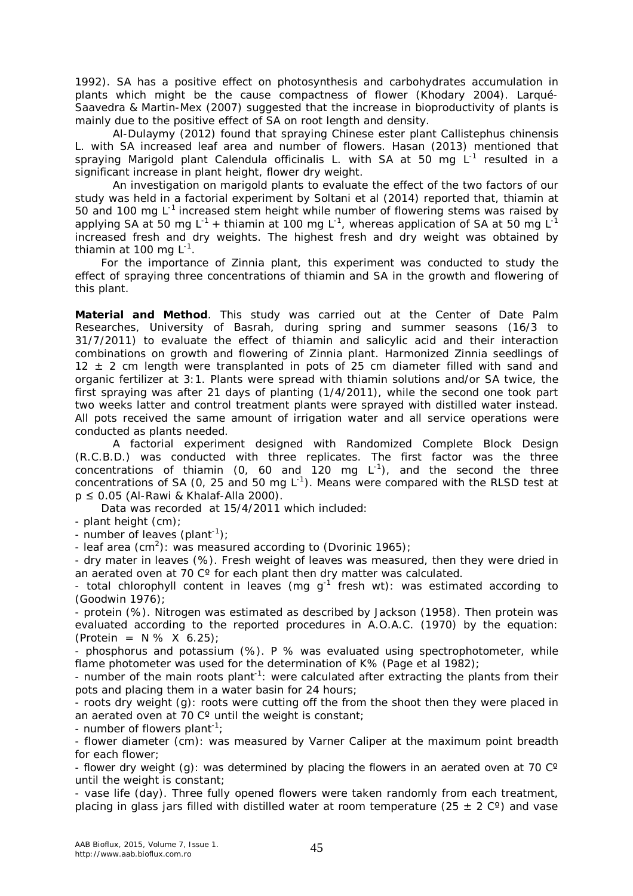1992). SA has a positive effect on photosynthesis and carbohydrates accumulation in plants which might be the cause compactness of flower (Khodary 2004). Larqué-Saavedra & Martin-Mex (2007) suggested that the increase in bioproductivity of plants is mainly due to the positive effect of SA on root length and density.

Al-Dulaymy (2012) found that spraying Chinese ester plant *Callistephus chinensis* L. with SA increased leaf area and number of flowers. Hasan (2013) mentioned that spraying Marigold plant *Calendula officinalis* L. with SA at 50 mg L<sup>-1</sup> resulted in a significant increase in plant height, flower dry weight.

An investigation on marigold plants to evaluate the effect of the two factors of our study was held in a factorial experiment by Soltani et al (2014) reported that, thiamin at 50 and 100 mg  $L^{-1}$  increased stem height while number of flowering stems was raised by applying SA at 50 mg L<sup>-1</sup> + thiamin at 100 mg L<sup>-1</sup>, whereas application of SA at 50 mg L<sup>-1</sup> increased fresh and dry weights. The highest fresh and dry weight was obtained by thiamin at 100 mg L<sup>-1</sup>.

 For the importance of Zinnia plant, this experiment was conducted to study the effect of spraying three concentrations of thiamin and SA in the growth and flowering of this plant.

**Material and Method**. This study was carried out at the Center of Date Palm Researches, University of Basrah, during spring and summer seasons (16/3 to 31/7/2011) to evaluate the effect of thiamin and salicylic acid and their interaction combinations on growth and flowering of Zinnia plant. Harmonized Zinnia seedlings of  $12 \pm 2$  cm length were transplanted in pots of 25 cm diameter filled with sand and organic fertilizer at 3:1. Plants were spread with thiamin solutions and/or SA twice, the first spraying was after 21 days of planting (1/4/2011), while the second one took part two weeks latter and control treatment plants were sprayed with distilled water instead. All pots received the same amount of irrigation water and all service operations were conducted as plants needed.

A factorial experiment designed with Randomized Complete Block Design (R.C.B.D.) was conducted with three replicates. The first factor was the three concentrations of thiamin (0, 60 and 120 mg  $L^{-1}$ ), and the second the three concentrations of SA (0, 25 and 50 mg  $L^{-1}$ ). Means were compared with the RLSD test at p ≤ 0.05 (Al-Rawi & Khalaf-Alla 2000).

Data was recorded at 15/4/2011 which included:

- plant height (cm);

- number of leaves (plant<sup>-1</sup>);

- leaf area (cm<sup>2</sup>): was measured according to (Dvorinic 1965);

- dry mater in leaves (%). Fresh weight of leaves was measured, then they were dried in an aerated oven at 70 C° for each plant then dry matter was calculated.

- total chlorophyll content in leaves (mg  $g^{-1}$  fresh wt): was estimated according to (Goodwin 1976);

- protein (%). Nitrogen was estimated as described by Jackson (1958). Then protein was evaluated according to the reported procedures in A.O.A.C. (1970) by the equation:  $(Protein = N % X 6.25);$ 

- phosphorus and potassium (%). P % was evaluated using spectrophotometer, while flame photometer was used for the determination of K% (Page et al 1982);

- number of the main roots plant<sup>-1</sup>: were calculated after extracting the plants from their pots and placing them in a water basin for 24 hours;

- roots dry weight (g): roots were cutting off the from the shoot then they were placed in an aerated oven at 70 C° until the weight is constant;

- number of flowers plant<sup>-1</sup>;

- flower diameter (cm): was measured by Varner Caliper at the maximum point breadth for each flower;

- flower dry weight (g): was determined by placing the flowers in an aerated oven at 70  $\degree$ until the weight is constant;

- vase life (day). Three fully opened flowers were taken randomly from each treatment, placing in glass jars filled with distilled water at room temperature (25  $\pm$  2 C°) and vase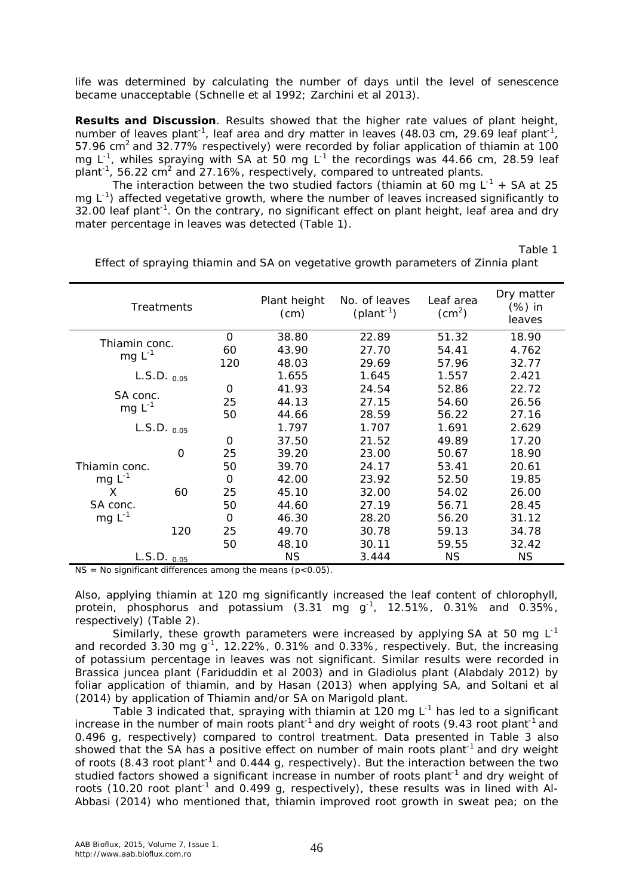life was determined by calculating the number of days until the level of senescence became unacceptable (Schnelle et al 1992; Zarchini et al 2013).

**Results and Discussion**. Results showed that the higher rate values of plant height, number of leaves plant<sup>-1</sup>, leaf area and dry matter in leaves (48.03 cm, 29.69 leaf plant<sup>-1</sup>, 57.96 cm<sup>2</sup> and 32.77% respectively) were recorded by foliar application of thiamin at 100 mg  $L^{-1}$ , whiles spraying with SA at 50 mg  $L^{-1}$  the recordings was 44.66 cm, 28.59 leaf plant<sup>-1</sup>, 56.22 cm<sup>2</sup> and 27.16%, respectively, compared to untreated plants.

The interaction between the two studied factors (thiamin at 60 mg  $L^{-1}$  + SA at 25 mg L<sup>-1</sup>) affected vegetative growth, where the number of leaves increased significantly to 32.00 leaf plant<sup>-1</sup>. On the contrary, no significant effect on plant height, leaf area and dry mater percentage in leaves was detected (Table 1).

Table 1

| <b>Treatments</b>                                     |          |           | Plant height<br>(cm) | No. of leaves<br>$(plant-1)$ | Leaf area<br>$\left( \text{cm}^2 \right)$ | Dry matter<br>(%) in<br>leaves |
|-------------------------------------------------------|----------|-----------|----------------------|------------------------------|-------------------------------------------|--------------------------------|
| $\Omega$<br>Thiamin conc.<br>60<br>$mg L^{-1}$<br>120 |          |           | 38.80                | 22.89                        | 51.32                                     | 18.90                          |
|                                                       |          |           | 43.90                | 27.70                        | 54.41                                     | 4.762                          |
|                                                       |          |           | 48.03                | 29.69                        | 57.96                                     | 32.77                          |
| $L.S.D._{0.05}$                                       |          |           | 1.655                | 1.645                        | 1.557                                     | 2.421                          |
| SA conc.<br>mg $L^{-1}$                               |          | $\Omega$  | 41.93                | 24.54                        | 52.86                                     | 22.72                          |
|                                                       |          | 25        | 44.13                | 27.15                        | 54.60                                     | 26.56                          |
|                                                       |          | 50        | 44.66                | 28.59                        | 56.22                                     | 27.16                          |
| $L.S.D.$ $_{0.05}$                                    |          | 1.797     | 1.707                | 1.691                        | 2.629                                     |                                |
|                                                       |          | $\Omega$  | 37.50                | 21.52                        | 49.89                                     | 17.20                          |
|                                                       | $\Omega$ | 25        | 39.20                | 23.00                        | 50.67                                     | 18.90                          |
| Thiamin conc.                                         |          | 50        | 39.70                | 24.17                        | 53.41                                     | 20.61                          |
| $mgL^{-1}$                                            |          | $\Omega$  | 42.00                | 23.92                        | 52.50                                     | 19.85                          |
| X                                                     | 60       | 25        | 45.10                | 32.00                        | 54.02                                     | 26.00                          |
| SA conc.                                              |          | 50        | 44.60                | 27.19                        | 56.71                                     | 28.45                          |
| mg $L^{-1}$                                           |          | $\Omega$  | 46.30                | 28.20                        | 56.20                                     | 31.12                          |
|                                                       | 120      | 25        | 49.70                | 30.78                        | 59.13                                     | 34.78                          |
|                                                       |          | 50        | 48.10                | 30.11                        | 59.55                                     | 32.42                          |
| $L.S.D._{0.05}$                                       |          | <b>NS</b> | 3.444                | <b>NS</b>                    | <b>NS</b>                                 |                                |

Effect of spraying thiamin and SA on vegetative growth parameters of Zinnia plant

 $NS = No$  significant differences among the means ( $p < 0.05$ ).

Also, applying thiamin at 120 mg significantly increased the leaf content of chlorophyll, protein, phosphorus and potassium (3.31 mg  $g^{-1}$ , 12.51%, 0.31% and 0.35%, respectively) (Table 2).

Similarly, these growth parameters were increased by applying SA at 50 mg  $L^{-1}$ and recorded 3.30 mg  $g^{-1}$ , 12.22%, 0.31% and 0.33%, respectively. But, the increasing of potassium percentage in leaves was not significant. Similar results were recorded in *Brassica juncea* plant (Fariduddin et al 2003) and in Gladiolus plant (Alabdaly 2012) by foliar application of thiamin, and by Hasan (2013) when applying SA, and Soltani et al (2014) by application of Thiamin and/or SA on Marigold plant.

Table 3 indicated that, spraying with thiamin at 120 mg  $L^{-1}$  has led to a significant increase in the number of main roots plant<sup>-1</sup> and dry weight of roots (9.43 root plant<sup>-1</sup> and 0.496 g, respectively) compared to control treatment. Data presented in Table 3 also showed that the SA has a positive effect on number of main roots plant<sup>-1</sup> and dry weight of roots (8.43 root plant<sup>-1</sup> and 0.444 g, respectively). But the interaction between the two studied factors showed a significant increase in number of roots plant<sup>-1</sup> and dry weight of roots (10.20 root plant<sup>-1</sup> and 0.499 g, respectively), these results was in lined with Al-Abbasi (2014) who mentioned that, thiamin improved root growth in sweat pea; on the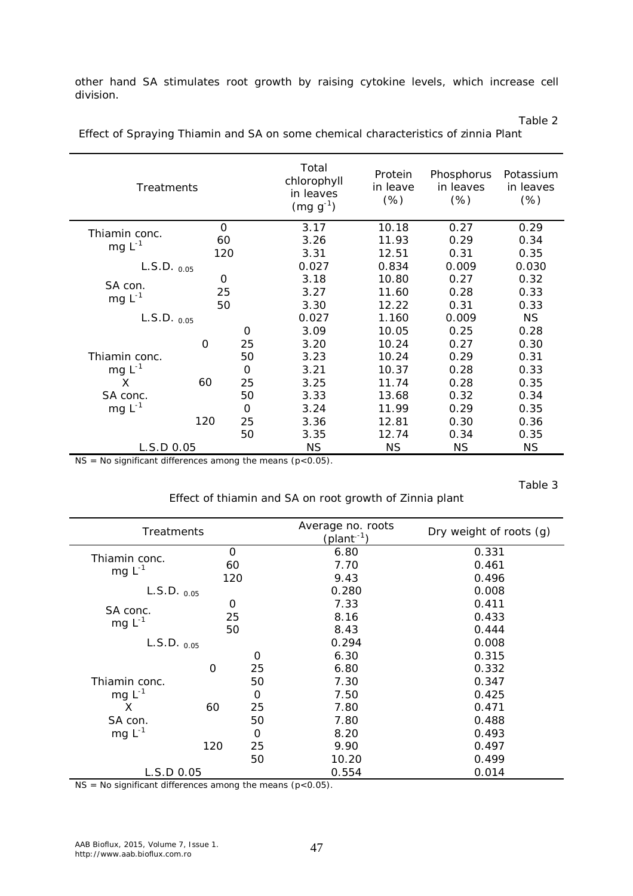other hand SA stimulates root growth by raising cytokine levels, which increase cell division.

Table 2

Table 3

| <b>Treatments</b>      |                 |          | Total<br>chlorophyll<br>in leaves<br>$(mg g-1)$ | Protein<br>in leave<br>(%) | Phosphorus<br>in leaves<br>(%) | Potassium<br>in leaves<br>(% ) |
|------------------------|-----------------|----------|-------------------------------------------------|----------------------------|--------------------------------|--------------------------------|
|                        | $\Omega$        |          | 3.17                                            | 10.18                      | 0.27                           | 0.29                           |
| Thiamin conc.          | 60              |          | 3.26                                            | 11.93                      | 0.29                           | 0.34                           |
| mg $L^{-1}$            | 120             |          | 3.31                                            | 12.51                      | 0.31                           | 0.35                           |
|                        | $L.S.D._{0.05}$ |          |                                                 | 0.834                      | 0.009                          | 0.030                          |
|                        | 0<br>25<br>50   |          | 3.18                                            | 10.80                      | 0.27                           | 0.32                           |
| SA con.<br>mg $L^{-1}$ |                 |          | 3.27                                            | 11.60                      | 0.28                           | 0.33                           |
|                        |                 |          | 3.30                                            | 12.22                      | 0.31                           | 0.33                           |
| $L.S.D.$ $_{0.05}$     |                 |          | 0.027                                           | 1.160                      | 0.009                          | <b>NS</b>                      |
|                        |                 | $\Omega$ | 3.09                                            | 10.05                      | 0.25                           | 0.28                           |
|                        | $\Omega$        | 25       | 3.20                                            | 10.24                      | 0.27                           | 0.30                           |
| Thiamin conc.          |                 | 50       | 3.23                                            | 10.24                      | 0.29                           | 0.31                           |
| mg $L^{-1}$            |                 | $\Omega$ | 3.21                                            | 10.37                      | 0.28                           | 0.33                           |
| X                      | 60              | 25       | 3.25                                            | 11.74                      | 0.28                           | 0.35                           |
| SA conc.               |                 | 50       | 3.33                                            | 13.68                      | 0.32                           | 0.34                           |
| mg $L^{-1}$            |                 | $\Omega$ | 3.24                                            | 11.99                      | 0.29                           | 0.35                           |
|                        | 120             | 25       | 3.36                                            | 12.81                      | 0.30                           | 0.36                           |
|                        |                 | 50       | 3.35                                            | 12.74                      | 0.34                           | 0.35                           |
| L.S.D.0.05             |                 |          | <b>NS</b>                                       | <b>NS</b>                  | <b>NS</b>                      | <b>NS</b>                      |

Effect of Spraying Thiamin and SA on some chemical characteristics of zinnia Plant

 $NS = No$  significant differences among the means ( $p < 0.05$ ).

### Effect of thiamin and SA on root growth of Zinnia plant

| <b>Treatments</b>        |     |             | Average no. roots<br>(plant <sup>-1</sup> ) | Dry weight of roots (g) |
|--------------------------|-----|-------------|---------------------------------------------|-------------------------|
|                          | 0   |             | 6.80                                        | 0.331                   |
| Thiamin conc.            | 60  |             | 7.70                                        | 0.461                   |
| mg $L^{-1}$              | 120 |             | 9.43                                        | 0.496                   |
| $L.S.D.$ $_{0.05}$       |     |             | 0.280                                       | 0.008                   |
|                          | 0   |             | 7.33                                        | 0.411                   |
| SA conc.                 | 25  |             | 8.16                                        | 0.433                   |
| mg $L^{-1}$              | 50  |             | 8.43                                        | 0.444                   |
| $L.S.D.$ <sub>0.05</sub> |     |             | 0.294                                       | 0.008                   |
|                          |     | O           | 6.30                                        | 0.315                   |
|                          | O   | 25          | 6.80                                        | 0.332                   |
| Thiamin conc.            |     | 50          | 7.30                                        | 0.347                   |
| mg $L^{-1}$              |     | 0           | 7.50                                        | 0.425                   |
| X                        | 60  | 25          | 7.80                                        | 0.471                   |
| SA con.                  |     | 50          | 7.80                                        | 0.488                   |
| mg $L^{-1}$              |     | $\mathbf 0$ | 8.20                                        | 0.493                   |
|                          | 120 | 25          | 9.90                                        | 0.497                   |
|                          |     | 50          | 10.20                                       | 0.499                   |
| L.S.D 0.05               |     |             | 0.554                                       | 0.014                   |

 $NS = No$  significant differences among the means ( $p < 0.05$ ).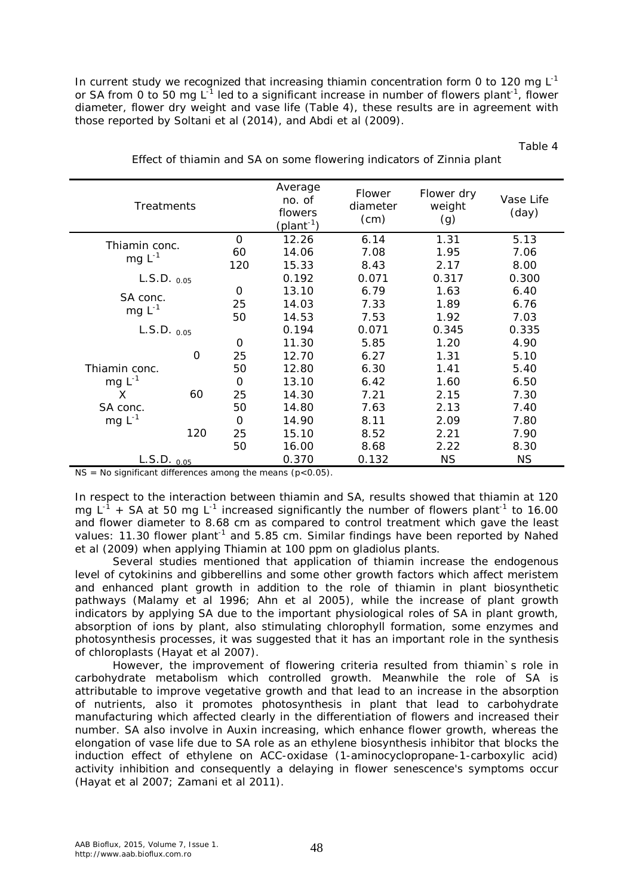In current study we recognized that increasing thiamin concentration form 0 to 120 mg  $L^{-1}$ or SA from 0 to 50 mg L<sup>-1</sup> led to a significant increase in number of flowers plant<sup>-1</sup>, flower diameter, flower dry weight and vase life (Table 4), these results are in agreement with those reported by Soltani et al (2014), and Abdi et al (2009).

Table 4

| <b>Treatments</b>            |     |          | Average<br>no. of<br>flowers<br>(plant <sup>-1</sup> ) | <i>Flower</i><br>diameter<br>(cm) | Flower dry<br>weight<br>(g) | Vase Life<br>(day) |
|------------------------------|-----|----------|--------------------------------------------------------|-----------------------------------|-----------------------------|--------------------|
| Thiamin conc.<br>mg $L^{-1}$ |     | $\Omega$ | 12.26                                                  | 6.14                              | 1.31                        | 5.13               |
|                              |     | 60       | 14.06                                                  | 7.08                              | 1.95                        | 7.06               |
|                              |     | 120      | 15.33                                                  | 8.43                              | 2.17                        | 8.00               |
| $L.S.D.$ <sub>0.05</sub>     |     |          | 0.192                                                  | 0.071                             | 0.317                       | 0.300              |
| SA conc.<br>mg $L^{-1}$      |     | $\Omega$ | 13.10                                                  | 6.79                              | 1.63                        | 6.40               |
|                              |     | 25       | 14.03                                                  | 7.33                              | 1.89                        | 6.76               |
|                              |     | 50       | 14.53                                                  | 7.53                              | 1.92                        | 7.03               |
| $L.S.D.$ $_{0.05}$           |     |          | 0.194                                                  | 0.071                             | 0.345                       | 0.335              |
|                              |     | $\Omega$ | 11.30                                                  | 5.85                              | 1.20                        | 4.90               |
|                              | 0   | 25       | 12.70                                                  | 6.27                              | 1.31                        | 5.10               |
| Thiamin conc.                |     | 50       | 12.80                                                  | 6.30                              | 1.41                        | 5.40               |
| mg $L^{-1}$                  |     | $\Omega$ | 13.10                                                  | 6.42                              | 1.60                        | 6.50               |
| X                            | 60  | 25       | 14.30                                                  | 7.21                              | 2.15                        | 7.30               |
| SA conc.                     |     | 50       | 14.80                                                  | 7.63                              | 2.13                        | 7.40               |
| mg $L^{-1}$                  |     | $\Omega$ | 14.90                                                  | 8.11                              | 2.09                        | 7.80               |
|                              | 120 | 25       | 15.10                                                  | 8.52                              | 2.21                        | 7.90               |
|                              |     | 50       | 16.00                                                  | 8.68                              | 2.22                        | 8.30               |
| L.S.D. 0.05                  |     |          | 0.370                                                  | 0.132                             | <b>NS</b>                   | <b>NS</b>          |

Effect of thiamin and SA on some flowering indicators of Zinnia plant

 $NS = No$  significant differences among the means ( $p < 0.05$ ).

In respect to the interaction between thiamin and SA, results showed that thiamin at 120 mg L<sup>-1</sup> + SA at 50 mg L<sup>-1</sup> increased significantly the number of flowers plant<sup>-1</sup> to 16.00 and flower diameter to 8.68 cm as compared to control treatment which gave the least values: 11.30 flower plant<sup>-1</sup> and 5.85 cm. Similar findings have been reported by Nahed et al (2009) when applying Thiamin at 100 ppm on gladiolus plants.

Several studies mentioned that application of thiamin increase the endogenous level of cytokinins and gibberellins and some other growth factors which affect meristem and enhanced plant growth in addition to the role of thiamin in plant biosynthetic pathways (Malamy et al 1996; Ahn et al 2005), while the increase of plant growth indicators by applying SA due to the important physiological roles of SA in plant growth, absorption of ions by plant, also stimulating chlorophyll formation, some enzymes and photosynthesis processes, it was suggested that it has an important role in the synthesis of chloroplasts (Hayat et al 2007).

However, the improvement of flowering criteria resulted from thiamin`s role in carbohydrate metabolism which controlled growth. Meanwhile the role of SA is attributable to improve vegetative growth and that lead to an increase in the absorption of nutrients, also it promotes photosynthesis in plant that lead to carbohydrate manufacturing which affected clearly in the differentiation of flowers and increased their number. SA also involve in Auxin increasing, which enhance flower growth, whereas the elongation of vase life due to SA role as an ethylene biosynthesis inhibitor that blocks the induction effect of ethylene on ACC-oxidase (1-aminocyclopropane-1-carboxylic acid) activity inhibition and consequently a delaying in flower senescence's symptoms occur (Hayat et al 2007; Zamani et al 2011).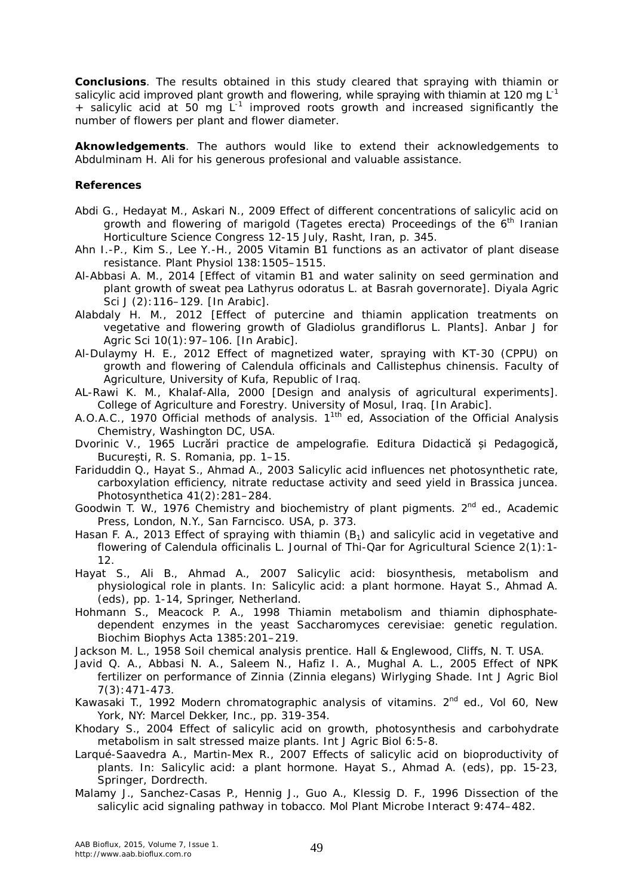**Conclusions**. The results obtained in this study cleared that spraying with thiamin or salicylic acid improved plant growth and flowering, while spraying with thiamin at 120 mg  $L^{-1}$ + salicylic acid at 50 mg L<sup>-1</sup> improved roots growth and increased significantly the number of flowers per plant and flower diameter.

**Aknowledgements**. The authors would like to extend their acknowledgements to Abdulminam H. Ali for his generous profesional and valuable assistance.

### **References**

- Abdi G., Hedayat M., Askari N., 2009 Effect of different concentrations of salicylic acid on growth and flowering of marigold (*Tagetes erecta*) Proceedings of the 6<sup>th</sup> Iranian Horticulture Science Congress 12-15 July, Rasht, Iran, p. 345.
- Ahn I.-P., Kim S., Lee Y.-H., 2005 Vitamin B1 functions as an activator of plant disease resistance. Plant Physiol 138:1505–1515.
- Al-Abbasi A. M., 2014 [Effect of vitamin B1 and water salinity on seed germination and plant growth of sweat pea *Lathyrus odoratus* L. at Basrah governorate]. Diyala Agric Sci J (2):116–129. [In Arabic].
- Alabdaly H. M., 2012 [Effect of putercine and thiamin application treatments on vegetative and flowering growth of *Gladiolus grandiflorus* L. Plants]. Anbar J for Agric Sci 10(1):97–106. [In Arabic].
- Al-Dulaymy H. E., 2012 Effect of magnetized water, spraying with KT-30 (CPPU) on growth and flowering of *Calendula officinals* and *Callistephus chinensis*. Faculty of Agriculture, University of Kufa, Republic of Iraq.
- AL-Rawi K. M., Khalaf-Alla, 2000 [Design and analysis of agricultural experiments]. College of Agriculture and Forestry. University of Mosul, Iraq. [In Arabic].
- A.O.A.C., 1970 Official methods of analysis. 11th ed, Association of the Official Analysis Chemistry, Washington DC, USA.
- Dvorinic V., 1965 Lucrări practice de ampelografie. Editura Didactică și Pedagogică, București, R. S. Romania, pp. 1–15.
- Fariduddin Q., Hayat S., Ahmad A., 2003 Salicylic acid influences net photosynthetic rate, carboxylation efficiency, nitrate reductase activity and seed yield in *Brassica juncea*. Photosynthetica 41(2):281–284.
- Goodwin T. W., 1976 Chemistry and biochemistry of plant pigments. 2<sup>nd</sup> ed., Academic Press, London, N.Y., San Farncisco. USA, p. 373.
- Hasan F. A., 2013 Effect of spraying with thiamin  $(B_1)$  and salicylic acid in vegetative and flowering of *Calendula officinalis* L. Journal of Thi-Qar for Agricultural Science 2(1):1- 12.
- Hayat S., Ali B., Ahmad A., 2007 Salicylic acid: biosynthesis, metabolism and physiological role in plants. In: Salicylic acid: a plant hormone. Hayat S., Ahmad A. (eds), pp. 1-14, Springer, Netherland.
- Hohmann S., Meacock P. A., 1998 Thiamin metabolism and thiamin diphosphatedependent enzymes in the yeast *Saccharomyces cerevisiae*: genetic regulation. Biochim Biophys Acta 1385:201–219.
- Jackson M. L., 1958 Soil chemical analysis prentice. Hall & Englewood, Cliffs, N. T. USA.
- Javid Q. A., Abbasi N. A., Saleem N., Hafiz I. A., Mughal A. L., 2005 Effect of NPK fertilizer on performance of Zinnia (*Zinnia elegans*) Wirlyging Shade. Int J Agric Biol 7(3):471-473.
- Kawasaki T., 1992 Modern chromatographic analysis of vitamins. 2<sup>nd</sup> ed., Vol 60, New York, NY: Marcel Dekker, Inc., pp. 319-354.
- Khodary S., 2004 Effect of salicylic acid on growth, photosynthesis and carbohydrate metabolism in salt stressed maize plants. Int J Agric Biol 6:5-8.
- Larqué-Saavedra A., Martin-Mex R., 2007 Effects of salicylic acid on bioproductivity of plants. In: Salicylic acid: a plant hormone. Hayat S., Ahmad A. (eds), pp. 15-23, Springer, Dordrecth.
- Malamy J., Sanchez-Casas P., Hennig J., Guo A., Klessig D. F., 1996 Dissection of the salicylic acid signaling pathway in tobacco. Mol Plant Microbe Interact 9:474–482.